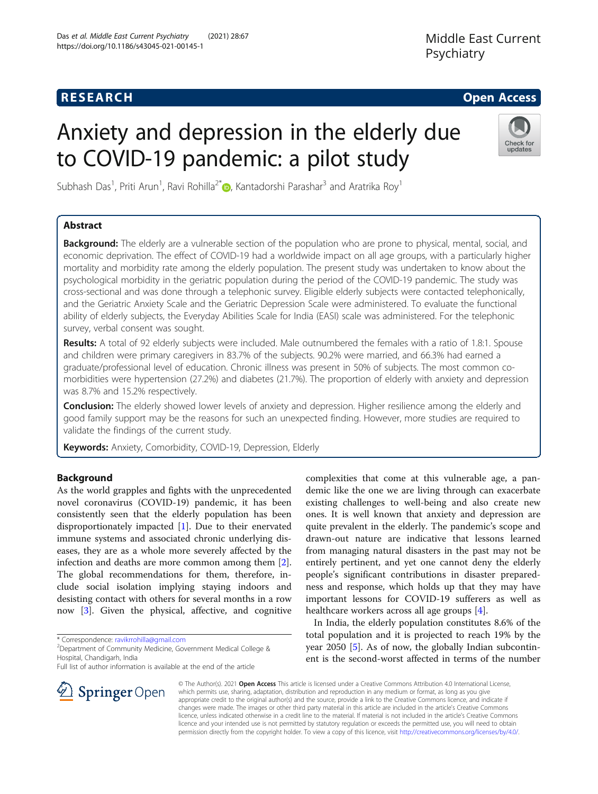## **RESEARCH CHE Open Access**

# Anxiety and depression in the elderly due to COVID-19 pandemic: a pilot study



Subhash Das<sup>1</sup>[,](http://orcid.org/0000-0001-7495-3072) Priti Arun<sup>1</sup>, Ravi Rohilla<sup>2\*</sup> $\bm{\odot}$ , Kantadorshi Parashar<sup>3</sup> and Aratrika Roy<sup>1</sup>

## Abstract

Background: The elderly are a vulnerable section of the population who are prone to physical, mental, social, and economic deprivation. The effect of COVID-19 had a worldwide impact on all age groups, with a particularly higher mortality and morbidity rate among the elderly population. The present study was undertaken to know about the psychological morbidity in the geriatric population during the period of the COVID-19 pandemic. The study was cross-sectional and was done through a telephonic survey. Eligible elderly subjects were contacted telephonically, and the Geriatric Anxiety Scale and the Geriatric Depression Scale were administered. To evaluate the functional ability of elderly subjects, the Everyday Abilities Scale for India (EASI) scale was administered. For the telephonic survey, verbal consent was sought.

Results: A total of 92 elderly subjects were included. Male outnumbered the females with a ratio of 1.8:1. Spouse and children were primary caregivers in 83.7% of the subjects. 90.2% were married, and 66.3% had earned a graduate/professional level of education. Chronic illness was present in 50% of subjects. The most common comorbidities were hypertension (27.2%) and diabetes (21.7%). The proportion of elderly with anxiety and depression was 8.7% and 15.2% respectively.

Conclusion: The elderly showed lower levels of anxiety and depression. Higher resilience among the elderly and good family support may be the reasons for such an unexpected finding. However, more studies are required to validate the findings of the current study.

Keywords: Anxiety, Comorbidity, COVID-19, Depression, Elderly

## Background

As the world grapples and fights with the unprecedented novel coronavirus (COVID-19) pandemic, it has been consistently seen that the elderly population has been disproportionately impacted [\[1](#page-4-0)]. Due to their enervated immune systems and associated chronic underlying diseases, they are as a whole more severely affected by the infection and deaths are more common among them [\[2](#page-4-0)]. The global recommendations for them, therefore, include social isolation implying staying indoors and desisting contact with others for several months in a row now [[3](#page-4-0)]. Given the physical, affective, and cognitive

\* Correspondence: [ravikrrohilla@gmail.com](mailto:ravikrrohilla@gmail.com) <sup>2</sup>

Department of Community Medicine, Government Medical College & Hospital, Chandigarh, India

Full list of author information is available at the end of the article



In India, the elderly population constitutes 8.6% of the total population and it is projected to reach 19% by the year 2050 [\[5](#page-4-0)]. As of now, the globally Indian subcontinent is the second-worst affected in terms of the number

© The Author(s). 2021 Open Access This article is licensed under a Creative Commons Attribution 4.0 International License, which permits use, sharing, adaptation, distribution and reproduction in any medium or format, as long as you give appropriate credit to the original author(s) and the source, provide a link to the Creative Commons licence, and indicate if changes were made. The images or other third party material in this article are included in the article's Creative Commons licence, unless indicated otherwise in a credit line to the material. If material is not included in the article's Creative Commons licence and your intended use is not permitted by statutory regulation or exceeds the permitted use, you will need to obtain permission directly from the copyright holder. To view a copy of this licence, visit <http://creativecommons.org/licenses/by/4.0/>.

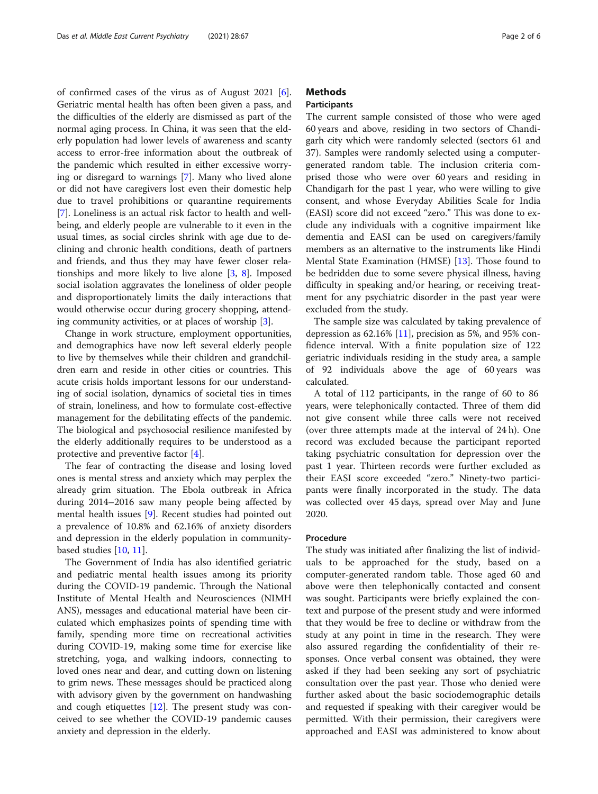of confirmed cases of the virus as of August 2021 [\[6](#page-4-0)]. Geriatric mental health has often been given a pass, and the difficulties of the elderly are dismissed as part of the normal aging process. In China, it was seen that the elderly population had lower levels of awareness and scanty access to error-free information about the outbreak of the pandemic which resulted in either excessive worrying or disregard to warnings [\[7](#page-4-0)]. Many who lived alone or did not have caregivers lost even their domestic help due to travel prohibitions or quarantine requirements [[7\]](#page-4-0). Loneliness is an actual risk factor to health and wellbeing, and elderly people are vulnerable to it even in the usual times, as social circles shrink with age due to declining and chronic health conditions, death of partners and friends, and thus they may have fewer closer relationships and more likely to live alone [\[3](#page-4-0), [8\]](#page-4-0). Imposed social isolation aggravates the loneliness of older people and disproportionately limits the daily interactions that would otherwise occur during grocery shopping, attending community activities, or at places of worship [\[3\]](#page-4-0).

Change in work structure, employment opportunities, and demographics have now left several elderly people to live by themselves while their children and grandchildren earn and reside in other cities or countries. This acute crisis holds important lessons for our understanding of social isolation, dynamics of societal ties in times of strain, loneliness, and how to formulate cost-effective management for the debilitating effects of the pandemic. The biological and psychosocial resilience manifested by the elderly additionally requires to be understood as a protective and preventive factor [\[4](#page-4-0)].

The fear of contracting the disease and losing loved ones is mental stress and anxiety which may perplex the already grim situation. The Ebola outbreak in Africa during 2014–2016 saw many people being affected by mental health issues [\[9](#page-4-0)]. Recent studies had pointed out a prevalence of 10.8% and 62.16% of anxiety disorders and depression in the elderly population in communitybased studies [[10,](#page-4-0) [11\]](#page-4-0).

The Government of India has also identified geriatric and pediatric mental health issues among its priority during the COVID-19 pandemic. Through the National Institute of Mental Health and Neurosciences (NIMH ANS), messages and educational material have been circulated which emphasizes points of spending time with family, spending more time on recreational activities during COVID-19, making some time for exercise like stretching, yoga, and walking indoors, connecting to loved ones near and dear, and cutting down on listening to grim news. These messages should be practiced along with advisory given by the government on handwashing and cough etiquettes [\[12](#page-4-0)]. The present study was conceived to see whether the COVID-19 pandemic causes anxiety and depression in the elderly.

## **Methods**

#### Participants

The current sample consisted of those who were aged 60 years and above, residing in two sectors of Chandigarh city which were randomly selected (sectors 61 and 37). Samples were randomly selected using a computergenerated random table. The inclusion criteria comprised those who were over 60 years and residing in Chandigarh for the past 1 year, who were willing to give consent, and whose Everyday Abilities Scale for India (EASI) score did not exceed "zero." This was done to exclude any individuals with a cognitive impairment like dementia and EASI can be used on caregivers/family members as an alternative to the instruments like Hindi Mental State Examination (HMSE) [[13\]](#page-4-0). Those found to be bedridden due to some severe physical illness, having difficulty in speaking and/or hearing, or receiving treatment for any psychiatric disorder in the past year were excluded from the study.

The sample size was calculated by taking prevalence of depression as  $62.16\%$  [[11\]](#page-4-0), precision as 5%, and 95% confidence interval. With a finite population size of 122 geriatric individuals residing in the study area, a sample of 92 individuals above the age of 60 years was calculated.

A total of 112 participants, in the range of 60 to 86 years, were telephonically contacted. Three of them did not give consent while three calls were not received (over three attempts made at the interval of 24 h). One record was excluded because the participant reported taking psychiatric consultation for depression over the past 1 year. Thirteen records were further excluded as their EASI score exceeded "zero." Ninety-two participants were finally incorporated in the study. The data was collected over 45 days, spread over May and June 2020.

### Procedure

The study was initiated after finalizing the list of individuals to be approached for the study, based on a computer-generated random table. Those aged 60 and above were then telephonically contacted and consent was sought. Participants were briefly explained the context and purpose of the present study and were informed that they would be free to decline or withdraw from the study at any point in time in the research. They were also assured regarding the confidentiality of their responses. Once verbal consent was obtained, they were asked if they had been seeking any sort of psychiatric consultation over the past year. Those who denied were further asked about the basic sociodemographic details and requested if speaking with their caregiver would be permitted. With their permission, their caregivers were approached and EASI was administered to know about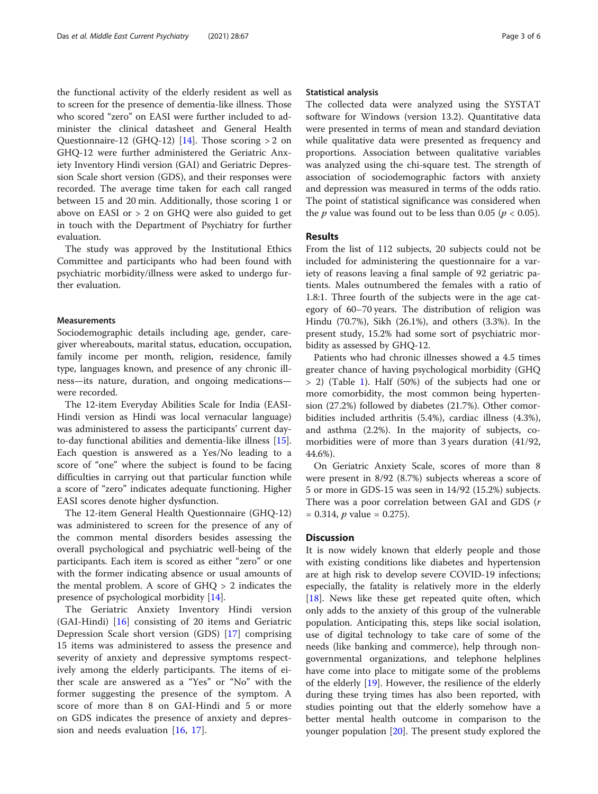the functional activity of the elderly resident as well as to screen for the presence of dementia-like illness. Those who scored "zero" on EASI were further included to administer the clinical datasheet and General Health Questionnaire-12 (GHQ-12) [[14](#page-5-0)]. Those scoring  $> 2$  on GHQ-12 were further administered the Geriatric Anxiety Inventory Hindi version (GAI) and Geriatric Depression Scale short version (GDS), and their responses were recorded. The average time taken for each call ranged between 15 and 20 min. Additionally, those scoring 1 or above on EASI or > 2 on GHQ were also guided to get in touch with the Department of Psychiatry for further evaluation.

The study was approved by the Institutional Ethics Committee and participants who had been found with psychiatric morbidity/illness were asked to undergo further evaluation.

#### Measurements

Sociodemographic details including age, gender, caregiver whereabouts, marital status, education, occupation, family income per month, religion, residence, family type, languages known, and presence of any chronic illness—its nature, duration, and ongoing medications were recorded.

The 12-item Everyday Abilities Scale for India (EASI-Hindi version as Hindi was local vernacular language) was administered to assess the participants' current dayto-day functional abilities and dementia-like illness [\[15](#page-5-0)]. Each question is answered as a Yes/No leading to a score of "one" where the subject is found to be facing difficulties in carrying out that particular function while a score of "zero" indicates adequate functioning. Higher EASI scores denote higher dysfunction.

The 12-item General Health Questionnaire (GHQ-12) was administered to screen for the presence of any of the common mental disorders besides assessing the overall psychological and psychiatric well-being of the participants. Each item is scored as either "zero" or one with the former indicating absence or usual amounts of the mental problem. A score of GHQ > 2 indicates the presence of psychological morbidity [[14\]](#page-5-0).

The Geriatric Anxiety Inventory Hindi version (GAI-Hindi) [[16](#page-5-0)] consisting of 20 items and Geriatric Depression Scale short version (GDS) [[17\]](#page-5-0) comprising 15 items was administered to assess the presence and severity of anxiety and depressive symptoms respectively among the elderly participants. The items of either scale are answered as a "Yes" or "No" with the former suggesting the presence of the symptom. A score of more than 8 on GAI-Hindi and 5 or more on GDS indicates the presence of anxiety and depression and needs evaluation [[16,](#page-5-0) [17\]](#page-5-0).

#### Statistical analysis

The collected data were analyzed using the SYSTAT software for Windows (version 13.2). Quantitative data were presented in terms of mean and standard deviation while qualitative data were presented as frequency and proportions. Association between qualitative variables was analyzed using the chi-square test. The strength of association of sociodemographic factors with anxiety and depression was measured in terms of the odds ratio. The point of statistical significance was considered when the *p* value was found out to be less than 0.05 ( $p < 0.05$ ).

#### Results

From the list of 112 subjects, 20 subjects could not be included for administering the questionnaire for a variety of reasons leaving a final sample of 92 geriatric patients. Males outnumbered the females with a ratio of 1.8:1. Three fourth of the subjects were in the age category of 60–70 years. The distribution of religion was Hindu (70.7%), Sikh (26.1%), and others (3.3%). In the present study, 15.2% had some sort of psychiatric morbidity as assessed by GHQ-12.

Patients who had chronic illnesses showed a 4.5 times greater chance of having psychological morbidity (GHQ > 2) (Table [1](#page-3-0)). Half (50%) of the subjects had one or more comorbidity, the most common being hypertension (27.2%) followed by diabetes (21.7%). Other comorbidities included arthritis (5.4%), cardiac illness (4.3%), and asthma (2.2%). In the majority of subjects, comorbidities were of more than 3 years duration (41/92, 44.6%).

On Geriatric Anxiety Scale, scores of more than 8 were present in 8/92 (8.7%) subjects whereas a score of 5 or more in GDS-15 was seen in 14/92 (15.2%) subjects. There was a poor correlation between GAI and GDS (r  $= 0.314$ , *p* value  $= 0.275$ ).

### **Discussion**

It is now widely known that elderly people and those with existing conditions like diabetes and hypertension are at high risk to develop severe COVID-19 infections; especially, the fatality is relatively more in the elderly [[18\]](#page-5-0). News like these get repeated quite often, which only adds to the anxiety of this group of the vulnerable population. Anticipating this, steps like social isolation, use of digital technology to take care of some of the needs (like banking and commerce), help through nongovernmental organizations, and telephone helplines have come into place to mitigate some of the problems of the elderly [[19\]](#page-5-0). However, the resilience of the elderly during these trying times has also been reported, with studies pointing out that the elderly somehow have a better mental health outcome in comparison to the younger population [\[20](#page-5-0)]. The present study explored the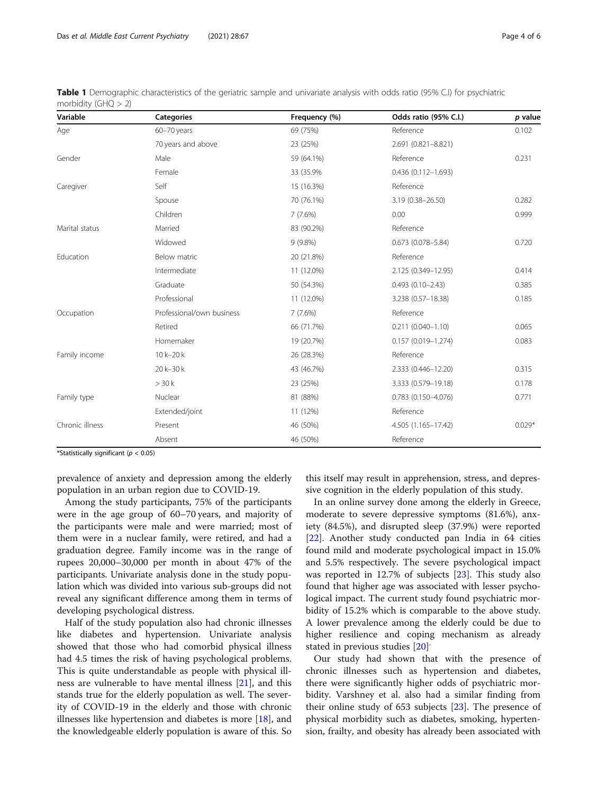| Variable        | <b>Categories</b>         | Frequency (%) | Odds ratio (95% C.I.)     | p value  |
|-----------------|---------------------------|---------------|---------------------------|----------|
| Age             | 60-70 years               | 69 (75%)      | Reference                 | 0.102    |
|                 | 70 years and above        | 23 (25%)      | 2.691 (0.821-8.821)       |          |
| Gender          | Male                      | 59 (64.1%)    | Reference                 | 0.231    |
|                 | Female                    | 33 (35.9%)    | 0.436 (0.112-1.693)       |          |
| Caregiver       | Self                      | 15 (16.3%)    | Reference                 |          |
|                 | Spouse                    | 70 (76.1%)    | 3.19 (0.38-26.50)         | 0.282    |
|                 | Children                  | 7(7.6%)       | 0.00                      | 0.999    |
| Marital status  | Married                   | 83 (90.2%)    | Reference                 |          |
|                 | Widowed                   | $9(9.8\%)$    | $0.673(0.078 - 5.84)$     | 0.720    |
| Education       | Below matric              | 20 (21.8%)    | Reference                 |          |
|                 | Intermediate              | 11 (12.0%)    | 2.125 (0.349-12.95)       | 0.414    |
|                 | Graduate                  | 50 (54.3%)    | $0.493(0.10 - 2.43)$      | 0.385    |
|                 | Professional              | 11 (12.0%)    | 3.238 (0.57-18.38)        | 0.185    |
| Occupation      | Professional/own business | 7(7.6%)       | Reference                 |          |
|                 | Retired                   | 66 (71.7%)    | $0.211(0.040 - 1.10)$     | 0.065    |
|                 | Homemaker                 | 19 (20.7%)    | $0.157(0.019 - 1.274)$    | 0.083    |
| Family income   | 10 k-20 k                 | 26 (28.3%)    | Reference                 |          |
|                 | 20 k-30 k                 | 43 (46.7%)    | 2.333 (0.446-12.20)       | 0.315    |
|                 | > 30k                     | 23 (25%)      | 3.333 (0.579-19.18)       | 0.178    |
| Family type     | Nuclear                   | 81 (88%)      | $0.783$ $(0.150 - 4.076)$ | 0.771    |
|                 | Extended/joint            | 11 (12%)      | Reference                 |          |
| Chronic illness | Present                   | 46 (50%)      | 4.505 (1.165-17.42)       | $0.029*$ |
|                 | Absent                    | 46 (50%)      | Reference                 |          |

<span id="page-3-0"></span>Table 1 Demographic characteristics of the geriatric sample and univariate analysis with odds ratio (95% C.I) for psychiatric morbidity (GHQ > 2)

\*Statistically significant ( $p < 0.05$ )

prevalence of anxiety and depression among the elderly population in an urban region due to COVID-19.

Among the study participants, 75% of the participants were in the age group of 60–70 years, and majority of the participants were male and were married; most of them were in a nuclear family, were retired, and had a graduation degree. Family income was in the range of rupees 20,000–30,000 per month in about 47% of the participants. Univariate analysis done in the study population which was divided into various sub-groups did not reveal any significant difference among them in terms of developing psychological distress.

Half of the study population also had chronic illnesses like diabetes and hypertension. Univariate analysis showed that those who had comorbid physical illness had 4.5 times the risk of having psychological problems. This is quite understandable as people with physical illness are vulnerable to have mental illness [\[21\]](#page-5-0), and this stands true for the elderly population as well. The severity of COVID-19 in the elderly and those with chronic illnesses like hypertension and diabetes is more [\[18](#page-5-0)], and the knowledgeable elderly population is aware of this. So

this itself may result in apprehension, stress, and depressive cognition in the elderly population of this study.

In an online survey done among the elderly in Greece, moderate to severe depressive symptoms (81.6%), anxiety (84.5%), and disrupted sleep (37.9%) were reported [[22\]](#page-5-0). Another study conducted pan India in 64 cities found mild and moderate psychological impact in 15.0% and 5.5% respectively. The severe psychological impact was reported in 12.7% of subjects [[23\]](#page-5-0). This study also found that higher age was associated with lesser psychological impact. The current study found psychiatric morbidity of 15.2% which is comparable to the above study. A lower prevalence among the elderly could be due to higher resilience and coping mechanism as already stated in previous studies [[20](#page-5-0)] .

Our study had shown that with the presence of chronic illnesses such as hypertension and diabetes, there were significantly higher odds of psychiatric morbidity. Varshney et al. also had a similar finding from their online study of 653 subjects [\[23\]](#page-5-0). The presence of physical morbidity such as diabetes, smoking, hypertension, frailty, and obesity has already been associated with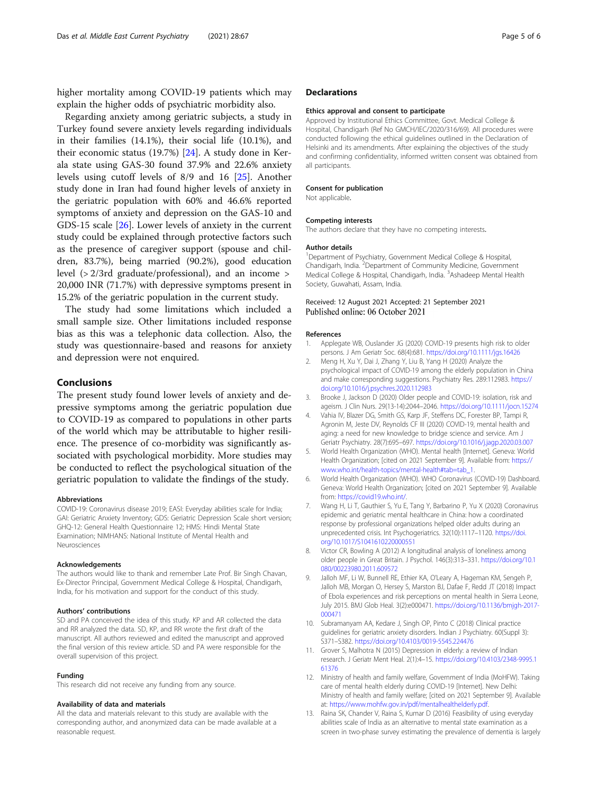<span id="page-4-0"></span>higher mortality among COVID-19 patients which may explain the higher odds of psychiatric morbidity also.

Regarding anxiety among geriatric subjects, a study in Turkey found severe anxiety levels regarding individuals in their families (14.1%), their social life (10.1%), and their economic status (19.7%) [[24\]](#page-5-0). A study done in Kerala state using GAS-30 found 37.9% and 22.6% anxiety levels using cutoff levels of 8/9 and 16 [\[25](#page-5-0)]. Another study done in Iran had found higher levels of anxiety in the geriatric population with 60% and 46.6% reported symptoms of anxiety and depression on the GAS-10 and GDS-15 scale [\[26](#page-5-0)]. Lower levels of anxiety in the current study could be explained through protective factors such as the presence of caregiver support (spouse and children, 83.7%), being married (90.2%), good education level (> 2/3rd graduate/professional), and an income > 20,000 INR (71.7%) with depressive symptoms present in 15.2% of the geriatric population in the current study.

The study had some limitations which included a small sample size. Other limitations included response bias as this was a telephonic data collection. Also, the study was questionnaire-based and reasons for anxiety and depression were not enquired.

### Conclusions

The present study found lower levels of anxiety and depressive symptoms among the geriatric population due to COVID-19 as compared to populations in other parts of the world which may be attributable to higher resilience. The presence of co-morbidity was significantly associated with psychological morbidity. More studies may be conducted to reflect the psychological situation of the geriatric population to validate the findings of the study.

#### Abbreviations

COVID-19: Coronavirus disease 2019; EASI: Everyday abilities scale for India; GAI: Geriatric Anxiety Inventory; GDS: Geriatric Depression Scale short version; GHQ-12: General Health Questionnaire 12; HMS: Hindi Mental State Examination; NIMHANS: National Institute of Mental Health and Neurosciences

#### Acknowledgements

The authors would like to thank and remember Late Prof. Bir Singh Chavan, Ex-Director Principal, Government Medical College & Hospital, Chandigarh, India, for his motivation and support for the conduct of this study.

#### Authors' contributions

SD and PA conceived the idea of this study. KP and AR collected the data and RR analyzed the data. SD, KP, and RR wrote the first draft of the manuscript. All authors reviewed and edited the manuscript and approved the final version of this review article. SD and PA were responsible for the overall supervision of this project.

#### Funding

This research did not receive any funding from any source.

#### Availability of data and materials

All the data and materials relevant to this study are available with the corresponding author, and anonymized data can be made available at a reasonable request.

#### **Declarations**

#### Ethics approval and consent to participate

Approved by Institutional Ethics Committee, Govt. Medical College & Hospital, Chandigarh (Ref No GMCH/IEC/2020/316/69). All procedures were conducted following the ethical guidelines outlined in the Declaration of Helsinki and its amendments. After explaining the objectives of the study and confirming confidentiality, informed written consent was obtained from all participants.

#### Consent for publication

Not applicable.

#### Competing interests

The authors declare that they have no competing interests.

#### Author details

<sup>1</sup>Department of Psychiatry, Government Medical College & Hospital Chandigarh, India. <sup>2</sup> Department of Community Medicine, Government Medical College & Hospital, Chandigarh, India. <sup>3</sup>Ashadeep Mental Health Society, Guwahati, Assam, India.

#### Received: 12 August 2021 Accepted: 21 September 2021 Published online: 06 October 2021

#### References

- 1. Applegate WB, Ouslander JG (2020) COVID-19 presents high risk to older persons. J Am Geriatr Soc. 68(4):681. <https://doi.org/10.1111/jgs.16426>
- 2. Meng H, Xu Y, Dai J, Zhang Y, Liu B, Yang H (2020) Analyze the psychological impact of COVID-19 among the elderly population in China and make corresponding suggestions. Psychiatry Res. 289:112983. [https://](https://doi.org/10.1016/j.psychres.2020.112983) [doi.org/10.1016/j.psychres.2020.112983](https://doi.org/10.1016/j.psychres.2020.112983)
- 3. Brooke J, Jackson D (2020) Older people and COVID-19: isolation, risk and ageism. J Clin Nurs. 29(13-14):2044–2046. <https://doi.org/10.1111/jocn.15274>
- Vahia IV, Blazer DG, Smith GS, Karp JF, Steffens DC, Forester BP, Tampi R, Agronin M, Jeste DV, Reynolds CF III (2020) COVID-19, mental health and aging: a need for new knowledge to bridge science and service. Am J Geriatr Psychiatry. 28(7):695–697. <https://doi.org/10.1016/j.jagp.2020.03.007>
- 5. World Health Organization (WHO). Mental health [Internet]. Geneva: World Health Organization; [cited on 2021 September 9]. Available from: [https://](https://www.who.int/health-topics/mental-health#tab=tab_1) [www.who.int/health-topics/mental-health#tab=tab\\_1.](https://www.who.int/health-topics/mental-health#tab=tab_1)
- 6. World Health Organization (WHO). WHO Coronavirus (COVID-19) Dashboard. Geneva: World Health Organization; [cited on 2021 September 9]. Available from: <https://covid19.who.int/>.
- 7. Wang H, Li T, Gauthier S, Yu E, Tang Y, Barbarino P, Yu X (2020) Coronavirus epidemic and geriatric mental healthcare in China: how a coordinated response by professional organizations helped older adults during an unprecedented crisis. Int Psychogeriatrics. 32(10):1117–1120. [https://doi.](https://doi.org/10.1017/S1041610220000551) [org/10.1017/S1041610220000551](https://doi.org/10.1017/S1041610220000551)
- 8. Victor CR, Bowling A (2012) A longitudinal analysis of loneliness among older people in Great Britain. J Psychol. 146(3):313–331. [https://doi.org/10.1](https://doi.org/10.1080/00223980.2011.609572) [080/00223980.2011.609572](https://doi.org/10.1080/00223980.2011.609572)
- 9. Jalloh MF, Li W, Bunnell RE, Ethier KA, O'Leary A, Hageman KM, Sengeh P, Jalloh MB, Morgan O, Hersey S, Marston BJ, Dafae F, Redd JT (2018) Impact of Ebola experiences and risk perceptions on mental health in Sierra Leone, July 2015. BMJ Glob Heal. 3(2):e000471. [https://doi.org/10.1136/bmjgh-2017-](https://doi.org/10.1136/bmjgh-2017-000471) [000471](https://doi.org/10.1136/bmjgh-2017-000471)
- 10. Subramanyam AA, Kedare J, Singh OP, Pinto C (2018) Clinical practice guidelines for geriatric anxiety disorders. Indian J Psychiatry. 60(Suppl 3): S371–S382. <https://doi.org/10.4103/0019-5545.224476>
- 11. Grover S, Malhotra N (2015) Depression in elderly: a review of Indian research. J Geriatr Ment Heal. 2(1):4–15. [https://doi.org/10.4103/2348-9995.1](https://doi.org/10.4103/2348-9995.161376) [61376](https://doi.org/10.4103/2348-9995.161376)
- 12. Ministry of health and family welfare, Government of India (MoHFW). Taking care of mental health elderly during COVID-19 [Internet]. New Delhi: Ministry of health and family welfare; [cited on 2021 September 9]. Available at: <https://www.mohfw.gov.in/pdf/mentalhealthelderly.pdf>.
- 13. Raina SK, Chander V, Raina S, Kumar D (2016) Feasibility of using everyday abilities scale of India as an alternative to mental state examination as a screen in two-phase survey estimating the prevalence of dementia is largely